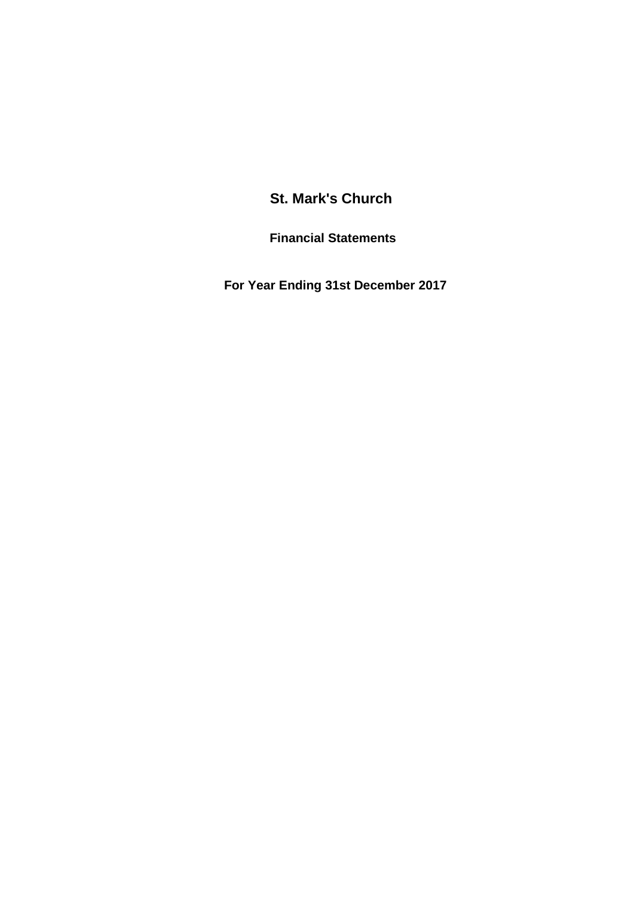# **St. Mark's Church**

**Financial Statements**

 **For Year Ending 31st December 2017**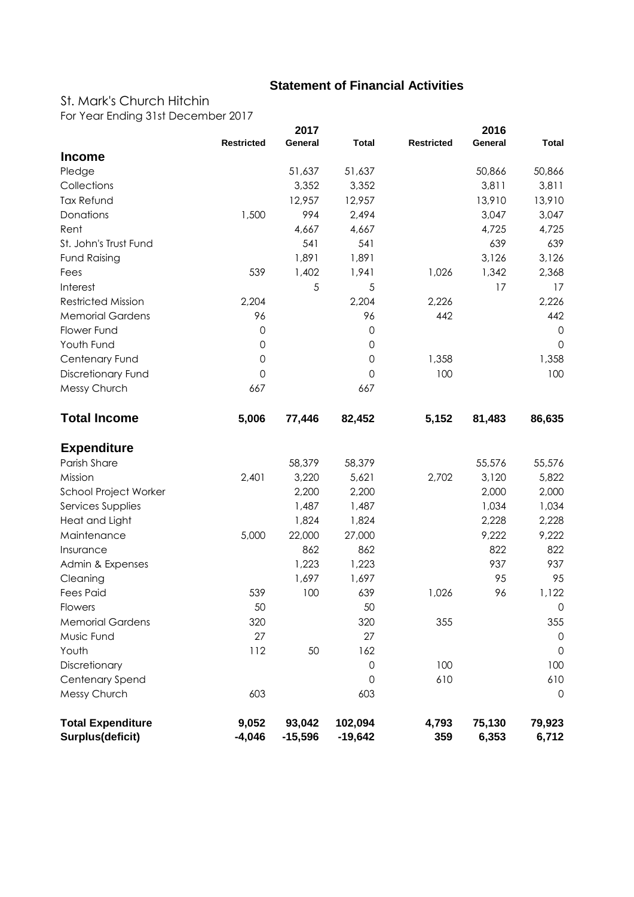## **Statement of Financial Activities**

## St. Mark's Church Hitchin

For Year Ending 31st December 2017

|                                              |                     | 2017                |                      |                   | 2016            |                 |
|----------------------------------------------|---------------------|---------------------|----------------------|-------------------|-----------------|-----------------|
|                                              | <b>Restricted</b>   | General             | <b>Total</b>         | <b>Restricted</b> | General         | <b>Total</b>    |
| <b>Income</b>                                |                     |                     |                      |                   |                 |                 |
| Pledge                                       |                     | 51,637              | 51,637               |                   | 50,866          | 50,866          |
| Collections                                  |                     | 3,352               | 3,352                |                   | 3,811           | 3,811           |
| <b>Tax Refund</b>                            |                     | 12,957              | 12,957               |                   | 13,910          | 13,910          |
| Donations                                    | 1,500               | 994                 | 2,494                |                   | 3,047           | 3,047           |
| Rent                                         |                     | 4,667               | 4,667                |                   | 4,725           | 4,725           |
| St. John's Trust Fund                        |                     | 541                 | 541                  |                   | 639             | 639             |
| <b>Fund Raising</b>                          |                     | 1,891               | 1,891                |                   | 3,126           | 3,126           |
| Fees                                         | 539                 | 1,402               | 1,941                | 1,026             | 1,342           | 2,368           |
| Interest                                     |                     | 5                   | 5                    |                   | 17              | 17              |
| <b>Restricted Mission</b>                    | 2,204               |                     | 2,204                | 2,226             |                 | 2,226           |
| <b>Memorial Gardens</b>                      | 96                  |                     | 96                   | 442               |                 | 442             |
| Flower Fund                                  | $\mathsf{O}\xspace$ |                     | $\mathsf{O}\xspace$  |                   |                 | $\mathbf 0$     |
| Youth Fund                                   | $\mathsf{O}\xspace$ |                     | $\mathsf{O}\xspace$  |                   |                 | $\Omega$        |
| Centenary Fund                               | $\mathsf{O}\xspace$ |                     | $\mathsf{O}\xspace$  | 1,358             |                 | 1,358           |
| Discretionary Fund                           | $\mathbf 0$         |                     | $\mathsf{O}$         | 100               |                 | 100             |
| Messy Church                                 | 667                 |                     | 667                  |                   |                 |                 |
| <b>Total Income</b>                          | 5,006               | 77,446              | 82,452               | 5,152             | 81,483          | 86,635          |
| <b>Expenditure</b>                           |                     |                     |                      |                   |                 |                 |
| Parish Share                                 |                     | 58,379              | 58,379               |                   | 55,576          | 55,576          |
| Mission                                      | 2,401               | 3,220               | 5,621                | 2,702             | 3,120           | 5,822           |
| School Project Worker                        |                     | 2,200               | 2,200                |                   | 2,000           | 2,000           |
| Services Supplies                            |                     | 1,487               | 1,487                |                   | 1,034           | 1,034           |
| Heat and Light                               |                     | 1,824               | 1,824                |                   | 2,228           | 2,228           |
| Maintenance                                  | 5,000               | 22,000              | 27,000               |                   | 9,222           | 9,222           |
| Insurance                                    |                     | 862                 | 862                  |                   | 822             | 822             |
| Admin & Expenses                             |                     | 1,223               | 1,223                |                   | 937             | 937             |
| Cleaning                                     |                     | 1,697               | 1,697                |                   | 95              | 95              |
| <b>Fees Paid</b>                             | 539                 | 100                 | 639                  | 1,026             | 96              | 1,122           |
| Flowers                                      | 50                  |                     | 50                   |                   |                 | $\mathbf 0$     |
| <b>Memorial Gardens</b>                      | 320                 |                     | 320                  | 355               |                 | 355             |
| Music Fund                                   | 27                  |                     | 27                   |                   |                 | 0               |
| Youth                                        | 112                 | 50                  | 162                  |                   |                 | $\mathbf 0$     |
| Discretionary                                |                     |                     | 0                    | 100               |                 | 100             |
| Centenary Spend                              |                     |                     | 0                    | 610               |                 | 610             |
| Messy Church                                 | 603                 |                     | 603                  |                   |                 | $\mathbf 0$     |
| <b>Total Expenditure</b><br>Surplus(deficit) | 9,052<br>$-4,046$   | 93,042<br>$-15,596$ | 102,094<br>$-19,642$ | 4,793<br>359      | 75,130<br>6,353 | 79,923<br>6,712 |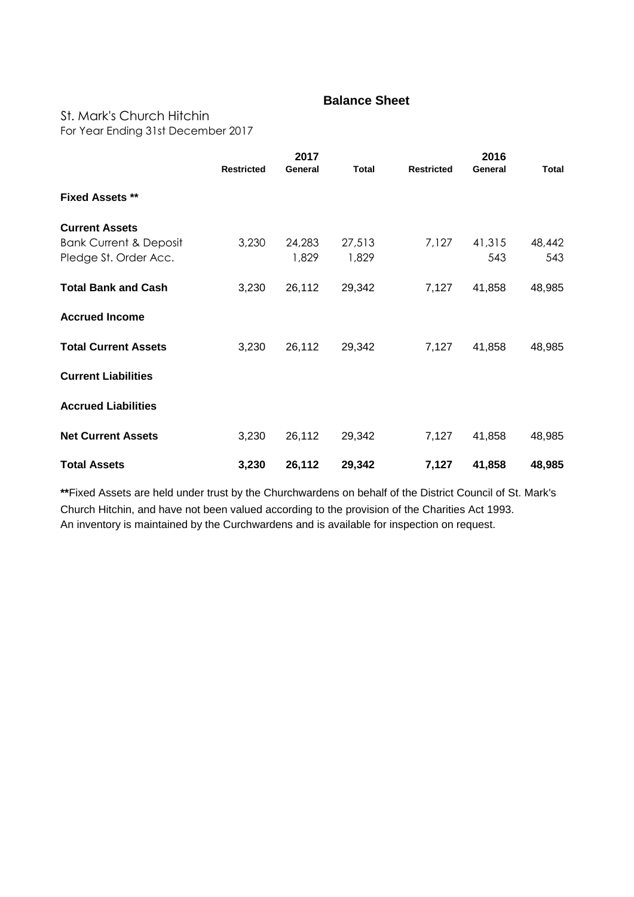### **Balance Sheet**

#### St. Mark's Church Hitchin

For Year Ending 31st December 2017

|                                                            | 2017              |                 |                 |                   |               |               |
|------------------------------------------------------------|-------------------|-----------------|-----------------|-------------------|---------------|---------------|
|                                                            | <b>Restricted</b> | General         | <b>Total</b>    | <b>Restricted</b> | General       | Total         |
| <b>Fixed Assets **</b>                                     |                   |                 |                 |                   |               |               |
| <b>Current Assets</b>                                      |                   |                 |                 |                   |               |               |
| <b>Bank Current &amp; Deposit</b><br>Pledge St. Order Acc. | 3,230             | 24,283<br>1,829 | 27,513<br>1,829 | 7,127             | 41,315<br>543 | 48,442<br>543 |
| <b>Total Bank and Cash</b>                                 | 3,230             | 26,112          | 29,342          | 7,127             | 41,858        | 48,985        |
| <b>Accrued Income</b>                                      |                   |                 |                 |                   |               |               |
| <b>Total Current Assets</b>                                | 3,230             | 26,112          | 29,342          | 7,127             | 41,858        | 48,985        |
| <b>Current Liabilities</b>                                 |                   |                 |                 |                   |               |               |
| <b>Accrued Liabilities</b>                                 |                   |                 |                 |                   |               |               |
| <b>Net Current Assets</b>                                  | 3,230             | 26,112          | 29,342          | 7,127             | 41,858        | 48,985        |
| <b>Total Assets</b>                                        | 3,230             | 26,112          | 29,342          | 7,127             | 41,858        | 48,985        |

**\*\***Fixed Assets are held under trust by the Churchwardens on behalf of the District Council of St. Mark's Church Hitchin, and have not been valued according to the provision of the Charities Act 1993. An inventory is maintained by the Curchwardens and is available for inspection on request.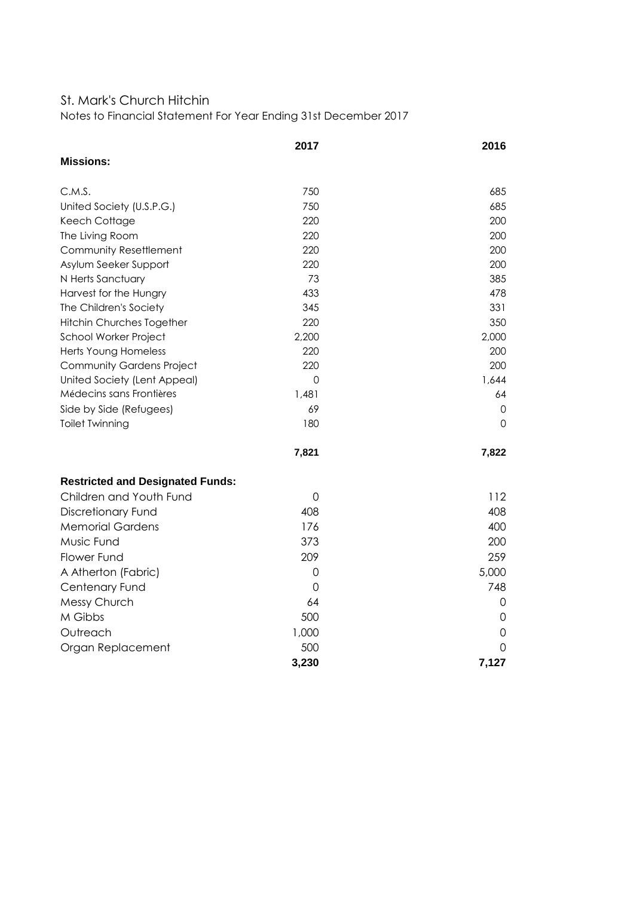#### St. Mark's Church Hitchin

Notes to Financial Statement For Year Ending 31st December 2017

|                                         | 2017        | 2016     |
|-----------------------------------------|-------------|----------|
| <b>Missions:</b>                        |             |          |
| C.M.S.                                  | 750         | 685      |
| United Society (U.S.P.G.)               | 750         | 685      |
| Keech Cottage                           | 220         | 200      |
| The Living Room                         | 220         | 200      |
| Community Resettlement                  | 220         | 200      |
| Asylum Seeker Support                   | 220         | 200      |
| N Herts Sanctuary                       | 73          | 385      |
| Harvest for the Hungry                  | 433         | 478      |
| The Children's Society                  | 345         | 331      |
| Hitchin Churches Together               | 220         | 350      |
| School Worker Project                   | 2,200       | 2,000    |
| Herts Young Homeless                    | 220         | 200      |
| <b>Community Gardens Project</b>        | 220         | 200      |
| United Society (Lent Appeal)            | 0           | 1,644    |
| Médecins sans Frontières                | 1,481       | 64       |
| Side by Side (Refugees)                 | 69          | 0        |
| <b>Toilet Twinning</b>                  | 180         | 0        |
|                                         | 7,821       | 7,822    |
| <b>Restricted and Designated Funds:</b> |             |          |
| Children and Youth Fund                 | $\mathbf 0$ | 112      |
| <b>Discretionary Fund</b>               | 408         | 408      |
| <b>Memorial Gardens</b>                 | 176         | 400      |
| Music Fund                              | 373         | 200      |
| Flower Fund                             | 209         | 259      |
| A Atherton (Fabric)                     | $\mathbf 0$ | 5,000    |
| Centenary Fund                          | 0           | 748      |
| Messy Church                            | 64          | 0        |
| M Gibbs                                 | 500         | 0        |
| Outreach                                | 1,000       | 0        |
| Organ Replacement                       | 500         | $\Omega$ |
|                                         | 3,230       | 7,127    |